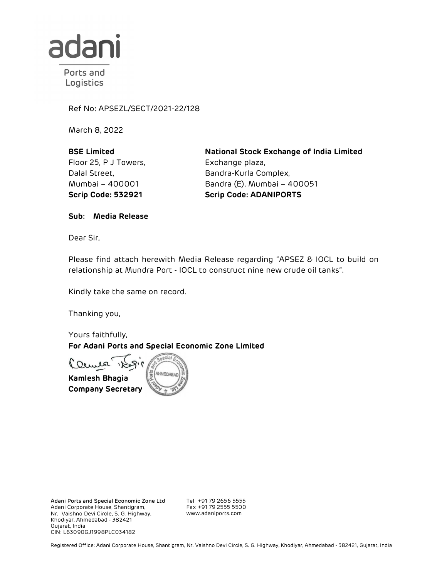

Ports and Logistics

Ref No: APSEZL/SECT/2021-22/128

March 8, 2022

BSE Limited Floor 25, P J Towers, Dalal Street, Mumbai – 400001

National Stock Exchange of India Limited Exchange plaza, Bandra-Kurla Complex, Bandra (E), Mumbai – 400051 Scrip Code: 532921 Scrip Code: ADANIPORTS

Sub: Media Release

Dear Sir,

Please find attach herewith Media Release regarding "APSEZ & IOCL to build on relationship at Mundra Port - IOCL to construct nine new crude oil tanks".

Kindly take the same on record.

Thanking you,

Yours faithfully, For Adani Ports and Special Economic Zone Limited

Clemen Kamlesh Bhagia (E AHMEDABAD) Company Secretary

Adani Ports and Special Economic Zone Ltd Adani Corporate House, Shantigram, Nr. Vaishno Devi Circle, S. G. Highway, Khodiyar, Ahmedabad - 382421 Gujarat, India CIN: L63090GJ1998PLC034182

Tel +91 79 2656 5555 Fax +91 79 2555 5500 www.adaniports.com

Registered Office: Adani Corporate House, Shantigram, Nr. Vaishno Devi Circle, S. G. Highway, Khodiyar, Ahmedabad - 382421, Gujarat, India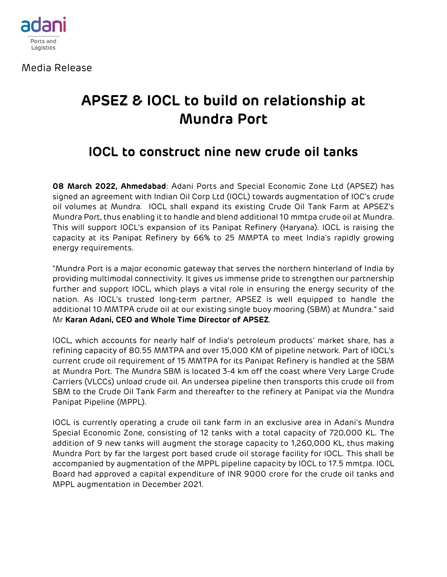

Media Release

## **APSEZ & IOCL to build on relationship at Mundra Port**

## **IOCL to construct nine new crude oil tanks**

**08 March 2022, Ahmedabad**: Adani Ports and Special Economic Zone Ltd (APSEZ) has signed an agreement with Indian Oil Corp Ltd (IOCL) towards augmentation of IOC's crude oil volumes at Mundra. IOCL shall expand its existing Crude Oil Tank Farm at APSEZ's Mundra Port, thus enabling it to handle and blend additional 10 mmtpa crude oil at Mundra. This will support IOCL's expansion of its Panipat Refinery (Haryana). IOCL is raising the capacity at its Panipat Refinery by 66% to 25 MMPTA to meet India's rapidly growing energy requirements.

"Mundra Port is a major economic gateway that serves the northern hinterland of India by providing multimodal connectivity. It gives us immense pride to strengthen our partnership further and support IOCL, which plays a vital role in ensuring the energy security of the nation. As IOCL's trusted long-term partner, APSEZ is well equipped to handle the additional 10 MMTPA crude oil at our existing single buoy mooring (SBM) at Mundra." said Mr **Karan Adani, CEO and Whole Time Director of APSEZ**.

IOCL, which accounts for nearly half of India's petroleum products' market share, has a refining capacity of 80.55 MMTPA and over 15,000 KM of pipeline network. Part of IOCL's current crude oil requirement of 15 MMTPA for its Panipat Refinery is handled at the SBM at Mundra Port. The Mundra SBM is located 3-4 km off the coast where Very Large Crude Carriers (VLCCs) unload crude oil. An undersea pipeline then transports this crude oil from SBM to the Crude Oil Tank Farm and thereafter to the refinery at Panipat via the Mundra Panipat Pipeline (MPPL).

IOCL is currently operating a crude oil tank farm in an exclusive area in Adani's Mundra Special Economic Zone, consisting of 12 tanks with a total capacity of 720,000 KL. The addition of 9 new tanks will augment the storage capacity to 1,260,000 KL, thus making Mundra Port by far the largest port based crude oil storage facility for IOCL. This shall be accompanied by augmentation of the MPPL pipeline capacity by IOCL to 17.5 mmtpa. IOCL Board had approved a capital expenditure of INR 9000 crore for the crude oil tanks and MPPL augmentation in December 2021.